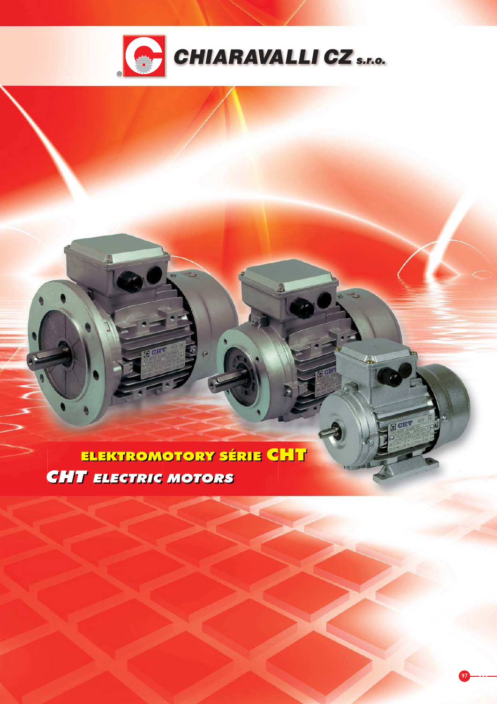

ELEKTROMOTORY SÉRIE CHT **CHT ELECTRIC MOTORS** 

Gen

GCHT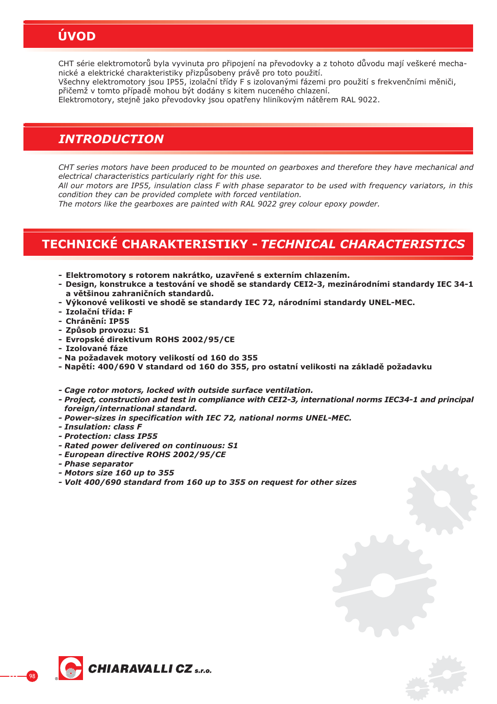# **ÚVOD**

CHT série elektromotorů byla vyvinuta pro připojení na převodovky a z tohoto důvodu mají veškeré mechanické a elektrické charakteristiky přizpůsobeny právě pro toto použití.

Všechny elektromotory jsou IP55, izolační třídy F s izolovanými fázemi pro použití s frekvenčními měniči, přičemž v tomto případě mohou být dodány s kitem nuceného chlazení.

Elektromotory, stejně jako převodovky jsou opatřeny hliníkovým nátěrem RAL 9022.

### *INTRODUCTION*

*CHT series motors have been produced to be mounted on gearboxes and therefore they have mechanical and electrical characteristics particularly right for this use.*

*All our motors are IP55, insulation class F with phase separator to be used with frequency variators, in this condition they can be provided complete with forced ventilation.*

*The motors like the gearboxes are painted with RAL 9022 grey colour epoxy powder.*

# **TECHNICKÉ CHARAKTERISTIKY -** *TECHNICAL CHARACTERISTICS*

- **Elektromotory s rotorem nakrátko, uzav ené s externím chlazením.**
- **Design, konstrukce a testování ve shod! se standardy CEI2-3, mezinárodními standardy IEC 34-1 a v!tšinou zahrani"ních standard#.**
- **Výkonové velikosti ve shod! se standardy IEC 72, národními standardy UNEL-MEC.**
- **Izola"ní t ída: F**
- **Chrán!ní: IP55**
- **Zp#sob provozu: S1**
- **Evropské direktivum ROHS 2002/95/CE**
- **Izolované fáze**
- **Na požadavek motory velikostí od 160 do 355**
- **Nap!tí: 400/690 V standard od 160 do 355, pro ostatní velikosti na základ! požadavku**

*- Cage rotor motors, locked with outside surface ventilation.*

- *Project, construction and test in compliance with CEI2-3, international norms IEC34-1 and principal foreign/international standard.*
- *Power-sizes in specification with IEC 72, national norms UNEL-MEC.*
- *Insulation: class F*
- *Protection: class IP55*
- *Rated power delivered on continuous: S1*
- *European directive ROHS 2002/95/CE*
- *Phase separator*
- *Motors size 160 up to 355*
- *Volt 400/690 standard from 160 up to 355 on request for other sizes*

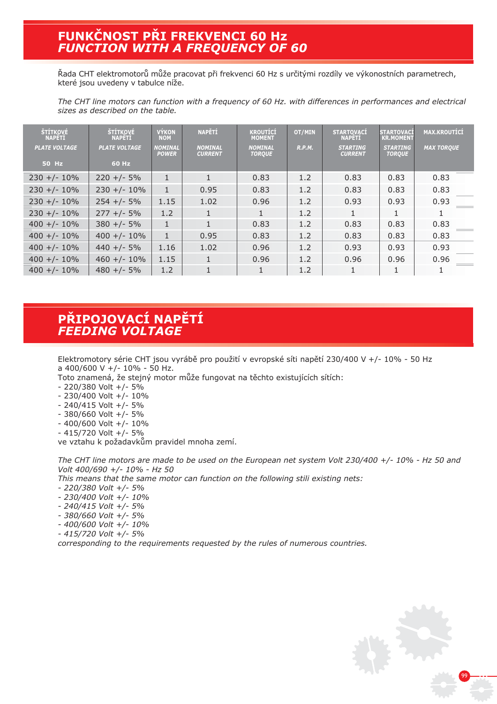## **FUNK%NOST P&I FREKVENCI 60 Hz** *FUNCTION WITH A FREQUENCY OF 60*

Řada CHT elektromotorů může pracovat při frekvenci 60 Hz s určitými rozdíly ve výkonostních parametrech, které jsou uvedeny v tabulce níže.

*The CHT line motors can function with a frequency of 60 Hz. with differences in performances and electrical sizes as described on the table.*

| ŠTÍTKOVÉ<br><b>NAPETI</b> | ŠTÍTKOVÉ<br><b>NAPETI</b> | <b>VÝKON</b><br><b>NOM</b>     | <b>NAPĚTÍ</b>                    | <b>KROUTÍCÍ</b><br><b>MOMENT</b> | OT/MIN | <b>STARTOVACÍ</b><br><b>NAPETI</b> | <b>STARTOVACÍ</b><br><b>KR.MOMENT</b> | <b>MAX.KROUTÍCÍ</b> |
|---------------------------|---------------------------|--------------------------------|----------------------------------|----------------------------------|--------|------------------------------------|---------------------------------------|---------------------|
| <b>PLATE VOLTAGE</b>      | <b>PLATE VOLTAGE</b>      | <b>NOMINAL</b><br><b>POWER</b> | <b>NOMINAL</b><br><b>CURRENT</b> | <b>NOMINAL</b><br><b>TORQUE</b>  | R.P.M. | <b>STARTING</b><br><b>CURRENT</b>  | <b>STARTING</b><br><b>TORQUE</b>      | <b>MAX TORQUE</b>   |
| <b>50 Hz</b>              | 60 Hz                     |                                |                                  |                                  |        |                                    |                                       |                     |
| $230 +/- 10%$             | $220 +/- 5%$              | $\mathbf{1}$                   |                                  | 0.83                             | 1.2    | 0.83                               | 0.83                                  | 0.83                |
| $230 +/- 10%$             | $230 +/- 10%$             | $\mathbf{1}$                   | 0.95                             | 0.83                             | 1.2    | 0.83                               | 0.83                                  | 0.83                |
| $230 +/- 10%$             | $254 +/- 5%$              | 1.15                           | 1.02                             | 0.96                             | 1.2    | 0.93                               | 0.93                                  | 0.93                |
| $230 +/- 10%$             | $277 + 1 - 5%$            | 1.2                            |                                  |                                  | 1.2    |                                    |                                       | 1                   |
| $400 +/- 10%$             | $380 +/- 5%$              | $\mathbf{1}$                   | $\mathbf{1}$                     | 0.83                             | 1.2    | 0.83                               | 0.83                                  | 0.83                |
| $400 +/- 10\%$            | $400 +/- 10%$             | $\mathbf{1}$                   | 0.95                             | 0.83                             | 1.2    | 0.83                               | 0.83                                  | 0.83                |
| $400 +/- 10%$             | $440 +/- 5%$              | 1.16                           | 1.02                             | 0.96                             | 1.2    | 0.93                               | 0.93                                  | 0.93                |
| $400 +/- 10\%$            | $460 +/- 10%$             | 1.15                           | $\mathbf{1}$                     | 0.96                             | 1.2    | 0.96                               | 0.96                                  | 0.96                |
| $400 +/- 10%$             | $480 +/- 5%$              | 1.2                            |                                  |                                  | 1.2    |                                    |                                       | 1                   |

## **P&IPOJOVACÍ NAP\$TÍ** *FEEDING VOLTAGE*

Elektromotory série CHT jsou vyrábě pro použití v evropské síti napětí 230/400 V +/- 10% - 50 Hz a 400/600 V +/- 10% - 50 Hz.

Toto znamená, že stejný motor může fungovat na těchto existujících sítích:

- 220/380 Volt +/- 5%
- 230/400 Volt +/- 10%
- 240/415 Volt +/- 5%
- 380/660 Volt +/- 5%
- 400/600 Volt +/- 10%
- 415/720 Volt +/- 5%

ve vztahu k požadavkům pravidel mnoha zemí.

*The CHT line motors are made to be used on the European net system Volt 230/400 +/- 10% - Hz 50 and Volt 400/690 +/- 10% - Hz 50*

*This means that the same motor can function on the following stili existing nets:*

- *220/380 Volt +/- 5%*
- *230/400 Volt +/- 10%*
- *240/415 Volt +/- 5%*
- *380/660 Volt +/- 5%*
- *400/600 Volt +/- 10%*
- *415/720 Volt +/- 5%*

*corresponding to the requirements requested by the rules of numerous countries.*

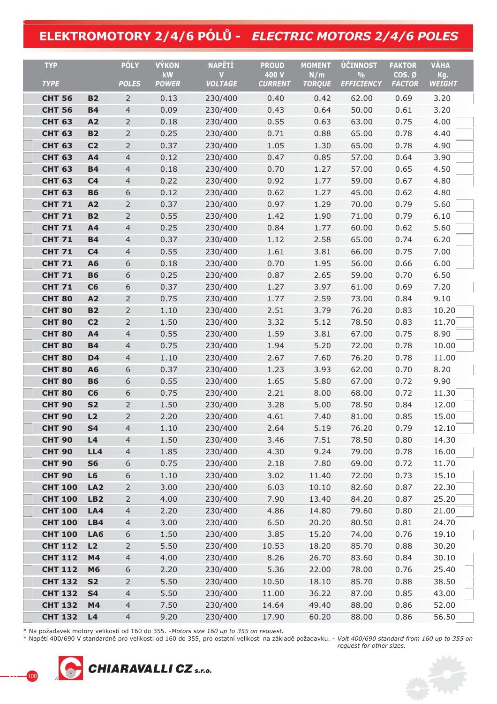# **ELEKTROMOTORY 2/4/6 PÓL' -** *ELECTRIC MOTORS 2/4/6 POLES*

| <b>TYP</b>                     |                        | <b>PÓLY</b>                      | <b>VÝKON</b>       | <b>NAPĚTÍ</b>       | <b>PROUD</b>            | <b>MOMENT</b>        | ÚČINNOST                           | <b>FAKTOR</b>           | <b>VÁHA</b>          |
|--------------------------------|------------------------|----------------------------------|--------------------|---------------------|-------------------------|----------------------|------------------------------------|-------------------------|----------------------|
| <b>TYPE</b>                    |                        | <b>POLES</b>                     | kW<br><b>POWER</b> | V<br><b>VOLTAGE</b> | 400 V<br><b>CURRENT</b> | N/m<br><b>TORQUE</b> | $\frac{0}{0}$<br><b>EFFICIENCY</b> | COS. Ø<br><b>FACTOR</b> | Kg.<br><b>WEIGHT</b> |
|                                |                        |                                  |                    |                     |                         |                      |                                    |                         |                      |
| <b>CHT 56</b><br><b>CHT 56</b> | <b>B2</b><br><b>B4</b> | $\overline{2}$<br>$\overline{4}$ | 0.13<br>0.09       | 230/400<br>230/400  | 0.40<br>0.43            | 0.42<br>0.64         | 62.00<br>50.00                     | 0.69<br>0.61            | 3.20<br>3.20         |
| <b>CHT 63</b>                  | A2                     | $\overline{2}$                   | 0.18               | 230/400             | 0.55                    | 0.63                 | 63.00                              | 0.75                    | 4.00                 |
| <b>CHT 63</b>                  | <b>B2</b>              | $\overline{2}$                   | 0.25               | 230/400             | 0.71                    | 0.88                 | 65.00                              | 0.78                    | 4.40                 |
| <b>CHT 63</b>                  | C <sub>2</sub>         | $\overline{2}$                   | 0.37               | 230/400             | 1.05                    | 1.30                 | 65.00                              | 0.78                    | 4.90                 |
| <b>CHT 63</b>                  | A4                     | $\overline{4}$                   | 0.12               | 230/400             | 0.47                    | 0.85                 | 57.00                              | 0.64                    | 3.90                 |
| <b>CHT 63</b>                  | <b>B4</b>              | $\overline{4}$                   | 0.18               | 230/400             | 0.70                    | 1.27                 | 57.00                              | 0.65                    | 4.50                 |
| <b>CHT 63</b>                  | C <sub>4</sub>         | $\overline{4}$                   | 0.22               | 230/400             | 0.92                    | 1.77                 | 59.00                              | 0.67                    | 4.80                 |
| <b>CHT 63</b>                  | <b>B6</b>              | 6                                | 0.12               | 230/400             | 0.62                    | 1.27                 | 45.00                              | 0.62                    | 4.80                 |
| <b>CHT 71</b>                  | A2                     | $\overline{2}$                   | 0.37               | 230/400             | 0.97                    | 1.29                 | 70.00                              | 0.79                    | 5.60                 |
| <b>CHT 71</b>                  | <b>B2</b>              | $\overline{2}$                   | 0.55               | 230/400             | 1.42                    | 1.90                 | 71.00                              | 0.79                    | 6.10                 |
| <b>CHT 71</b>                  | A4                     | $\overline{4}$                   | 0.25               | 230/400             | 0.84                    | 1.77                 | 60.00                              | 0.62                    | 5.60                 |
| <b>CHT 71</b>                  | <b>B4</b>              | $\overline{4}$                   | 0.37               | 230/400             | 1.12                    | 2.58                 | 65.00                              | 0.74                    | 6.20                 |
| <b>CHT 71</b>                  | C <sub>4</sub>         | $\overline{4}$                   | 0.55               | 230/400             | 1.61                    | 3.81                 | 66.00                              | 0.75                    | 7.00                 |
| <b>CHT 71</b>                  | <b>A6</b>              | 6                                | 0.18               | 230/400             | 0.70                    | 1.95                 | 56.00                              | 0.66                    | 6.00                 |
| <b>CHT 71</b>                  | <b>B6</b>              | 6                                | 0.25               | 230/400             | 0.87                    | 2.65                 | 59.00                              | 0.70                    | 6.50                 |
| <b>CHT 71</b>                  | C6                     | 6                                | 0.37               | 230/400             | 1.27                    | 3.97                 | 61.00                              | 0.69                    | 7.20                 |
| <b>CHT 80</b>                  | A2                     | $\overline{2}$                   | 0.75               | 230/400             | 1.77                    | 2.59                 | 73.00                              | 0.84                    | 9.10                 |
| <b>CHT 80</b>                  | <b>B2</b>              | $\overline{2}$                   | 1.10               | 230/400             | 2.51                    | 3.79                 | 76.20                              | 0.83                    | 10.20                |
| <b>CHT 80</b>                  | C <sub>2</sub>         | $\overline{2}$                   | 1.50               | 230/400             | 3.32                    | 5.12                 | 78.50                              | 0.83                    | 11.70                |
| <b>CHT 80</b>                  | A4                     | $\overline{4}$                   | 0.55               | 230/400             | 1.59                    | 3.81                 | 67.00                              | 0.75                    | 8.90                 |
| <b>CHT 80</b>                  | <b>B4</b>              | $\overline{4}$                   | 0.75               | 230/400             | 1.94                    | 5.20                 | 72.00                              | 0.78                    | 10.00                |
| <b>CHT 80</b>                  | D <sub>4</sub>         | $\overline{4}$                   | 1.10               | 230/400             | 2.67                    | 7.60                 | 76.20                              | 0.78                    | 11.00                |
| <b>CHT 80</b>                  | A6                     | 6                                | 0.37               | 230/400             | 1.23                    | 3.93                 | 62.00                              | 0.70                    | 8.20                 |
| <b>CHT 80</b>                  | <b>B6</b>              | 6                                | 0.55               | 230/400             | 1.65                    | 5.80                 | 67.00                              | 0.72                    | 9.90                 |
| <b>CHT 80</b>                  | C6                     | 6                                | 0.75               | 230/400             | 2.21                    | 8.00                 | 68.00                              | 0.72                    | 11.30                |
| <b>CHT 90</b>                  | <b>S2</b>              | $\overline{2}$                   | 1.50               | 230/400             | 3.28                    | 5.00                 | 78.50                              | 0.84                    | 12.00                |
| <b>CHT 90</b>                  | L2                     | $\overline{2}$                   | 2.20               | 230/400             | 4.61                    | 7.40                 | 81.00                              | 0.85                    | 15.00                |
| <b>CHT 90</b>                  | <b>S4</b>              | $\overline{4}$                   | 1.10               | 230/400             | 2.64                    | 5.19                 | 76.20                              | 0.79                    | 12.10                |
| <b>CHT 90</b>                  | L4                     | 4                                | 1.50               | 230/400             | 3.46                    | 7.51                 | 78.50                              | 0.80                    | 14.30                |
| <b>CHT 90</b>                  | LL4                    | $\overline{4}$                   | 1.85               | 230/400             | 4.30                    | 9.24                 | 79.00                              | 0.78                    | 16.00                |
| <b>CHT 90</b>                  | <b>S6</b>              | 6                                | 0.75               | 230/400             | 2.18                    | 7.80                 | 69.00                              | 0.72                    | 11.70                |
| <b>CHT 90</b>                  | L6                     | 6                                | 1.10               | 230/400             | 3.02                    | 11.40                | 72.00                              | 0.73                    | 15.10                |
| <b>CHT 100</b>                 | LA2                    | $\overline{2}$                   | 3.00               | 230/400             | 6.03                    | 10.10                | 82.60                              | 0.87                    | 22.30                |
| <b>CHT 100</b>                 | LB2                    | $\overline{2}$                   | 4.00               | 230/400             | 7.90                    | 13.40                | 84.20                              | 0.87                    | 25.20                |
| <b>CHT 100</b>                 | LA4                    | $\overline{4}$                   | 2.20               | 230/400             | 4.86                    | 14.80                | 79.60                              | 0.80                    | 21.00                |
| <b>CHT 100</b>                 | LB4                    | $\overline{4}$                   | 3.00               | 230/400             | 6.50                    | 20.20                | 80.50                              | 0.81                    | 24.70                |
| <b>CHT 100</b>                 | LA6                    | 6                                | 1.50               | 230/400             | 3.85                    | 15.20                | 74.00                              | 0.76                    | 19.10                |
| <b>CHT 112</b>                 | L2                     | $\overline{2}$                   | 5.50               | 230/400             | 10.53                   | 18.20                | 85.70                              | 0.88                    | 30.20                |
| <b>CHT 112</b>                 | M4                     | $\overline{4}$                   | 4.00               | 230/400             | 8.26                    | 26.70                | 83.60                              | 0.84                    | 30.10                |
| <b>CHT 112</b>                 | <b>M6</b>              | 6                                | 2.20               | 230/400             | 5.36                    | 22.00                | 78.00                              | 0.76                    | 25.40                |
| <b>CHT 132</b>                 | <b>S2</b>              | $\overline{2}$                   | 5.50               | 230/400             | 10.50                   | 18.10                | 85.70                              | 0.88                    | 38.50                |
| <b>CHT 132</b>                 | <b>S4</b>              | $\overline{4}$                   | 5.50               | 230/400             | 11.00                   | 36.22                | 87.00                              | 0.85                    | 43.00                |
| <b>CHT 132</b>                 | M4                     | $\overline{4}$                   | 7.50               | 230/400             | 14.64                   | 49.40                | 88.00                              | 0.86                    | 52.00                |
| <b>CHT 132</b>                 | L4                     | $\overline{4}$                   | 9.20               | 230/400             | 17.90                   | 60.20                | 88.00                              | 0.86                    | 56.50                |

\* Na požadavek motory velikostí od 160 do 355. - *Motors size 160 up to 355 on request.*

\* Nap"tí 400/690 V standardn" pro velikosti od 160 do 355, pro ostatní velikosti na základ" požadavku. - *Volt 400/690 standard from 160 up to 355 on request for other sizes.*



100

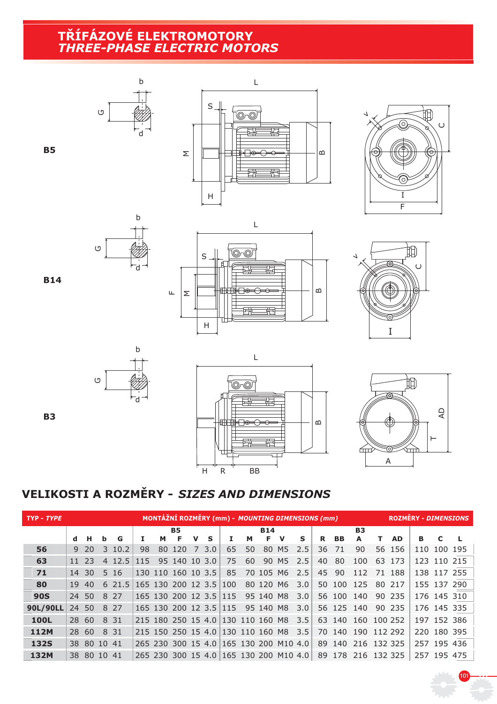#### **T&ÍFÁZOVÉ ELEKTROMOTORY** *THREE-PHASE ELECTRIC MOTORS*







I



**B5**

**B3**





.<br>10'

# **VELIKOSTI A ROZM\$RY -** *SIZES AND DIMENSIONS*

| TYP - TYPE  | MONTÁŽNÍ ROZMĚRY (mm) - MOUNTING DIMENSIONS (mm) |             |   |        |     |    |                                   |   |          |     |    |            |                                        |     | <b>ROZMĚRY - DIMENSIONS</b> |           |                 |    |           |             |             |  |
|-------------|--------------------------------------------------|-------------|---|--------|-----|----|-----------------------------------|---|----------|-----|----|------------|----------------------------------------|-----|-----------------------------|-----------|-----------------|----|-----------|-------------|-------------|--|
|             |                                                  |             |   |        |     |    | <b>B5</b>                         |   |          |     |    | <b>B14</b> |                                        |     |                             |           | <b>B3</b>       |    |           |             |             |  |
|             | d.                                               | н           | b | G      |     | м  | F                                 | v | <b>S</b> | 1   | м  | F.         | v                                      | S   | R.                          | <b>BB</b> | A               | т. | <b>AD</b> | в           | C           |  |
| 56          |                                                  | 9, 20       | 3 | 10.2   | 98  | 80 | 120                               | 7 | 3.0      | 65  | 50 |            | 80 M5                                  | 2.5 | 36                          | 71        | 90              |    | 56 156    | 110         | 100 195     |  |
| 63          | 11                                               | 23          |   | 4 12.5 | 115 |    | 95 140 10 3.0                     |   |          | 75  | 60 |            | 90 M5                                  | 2.5 | 40                          | 80        | 100             | 63 | 173       |             | 123 110 215 |  |
| 71          | 14                                               | 30          |   | 5 16   |     |    | 130 110 160 10 3.5                |   |          | 85  |    | 70 105 M6  |                                        | 2.5 | 45                          | 90        | 112             | 71 | 188       |             | 138 117 255 |  |
| 80          | 19                                               | 40          |   | 621.5  |     |    | 165 130 200 12 3.5                |   |          | 100 |    | 80 120 M6  |                                        | 3.0 | 50                          | 100       | 125             |    | 80 217    |             | 155 137 290 |  |
| <b>90S</b>  | 24 50                                            |             |   | 8 2 7  |     |    | 165 130 200 12 3.5 115            |   |          |     |    | 95 140 M8  |                                        | 3.0 |                             | 56 100    | 140             |    | 90 235    |             | 176 145 310 |  |
| 90L/90LL    | 24                                               | 50          |   | 8 2 7  |     |    | 165 130 200 12 3.5 115            |   |          |     |    | 95 140 M8  |                                        | 3.0 |                             | 56 125    | 140             |    | 90 235    |             | 176 145 335 |  |
| 100L        | 28 60                                            |             |   | 8 3 1  |     |    | 215 180 250 15 4.0 130 110 160 M8 |   |          |     |    |            |                                        | 3.5 | 63                          | 140       | 160 100 252     |    |           |             | 197 152 386 |  |
| 112M        | 28 60                                            |             |   | 8 31   |     |    | 215 150 250 15 4.0 130 110 160 M8 |   |          |     |    |            |                                        | 3.5 | 70                          | 140       | 190 112 292     |    |           |             | 220 180 395 |  |
| <b>132S</b> |                                                  | 38 80 10 41 |   |        |     |    |                                   |   |          |     |    |            | 265 230 300 15 4.0 165 130 200 M10 4.0 |     | 89                          |           | 140 216 132 325 |    |           |             | 257 195 436 |  |
| 132M        |                                                  | 38 80 10 41 |   |        |     |    |                                   |   |          |     |    |            | 265 230 300 15 4.0 165 130 200 M10 4.0 |     | 89                          |           | 178 216 132 325 |    |           | 257 195 475 |             |  |